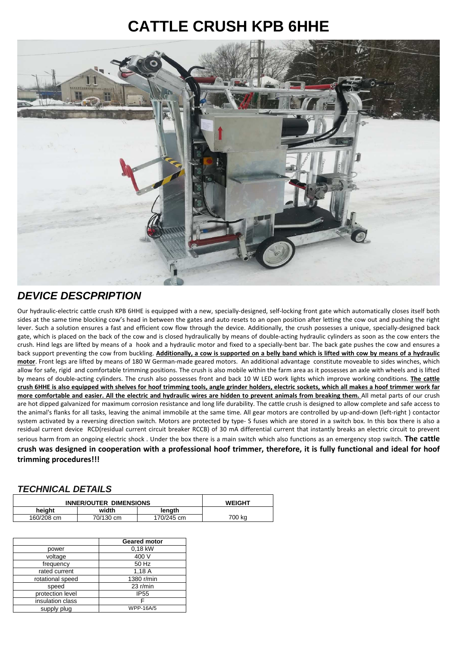## **CATTLE CRUSH KPB 6HHE**



## **DEVICE DESCPRIPTION**

Our hydraulic-electric cattle crush KPB 6HHE is equipped with a new, specially-designed, self-locking front gate which automatically closes itself both sides at the same time blocking cow's head in between the gates and auto resets to an open position after letting the cow out and pushing the right lever. Such a solution ensures a fast and efficient cow flow through the device. Additionally, the crush possesses a unique, specially-designed back gate, which is placed on the back of the cow and is closed hydraulically by means of double-acting hydraulic cylinders as soon as the cow enters the crush. Hind legs are lifted by means of a hook and a hydraulic motor and fixed to a specially-bent bar. The back gate pushes the cow and ensures a back support preventing the cow from buckling. **Additionally, a cow is supported on a belly band which is lifted with cow by means of a hydraulic motor**. Front legs are lifted by means of 180 W German-made geared motors. An additional advantage constitute moveable to sides winches, which allow for safe, rigid and comfortable trimming positions. The crush is also mobile within the farm area as it possesses an axle with wheels and is lifted by means of double-acting cylinders. The crush also possesses front and back 10 W LED work lights which improve working conditions. **The cattle crush 6HHE is also equipped with shelves for hoof trimming tools, angle grinder holders, electric sockets, which all makes a hoof trimmer work far more comfortable and easier. All the electric and hydraulic wires are hidden to prevent animals from breaking them.** All metal parts of our crush are hot dipped galvanized for maximum corrosion resistance and long life durability. The cattle crush is designed to allow complete and safe access to the animal's flanks for all tasks, leaving the animal immobile at the same time. All gear motors are controlled by up-and-down (left-right ) contactor system activated by a reversing direction switch. Motors are protected by type- S fuses which are stored in a switch box. In this box there is also a residual current device RCD(residual current circuit breaker RCCB) of 30 mA differential current that instantly breaks an electric circuit to prevent serious harm from an ongoing electric shock . Under the box there is a main switch which also functions as an emergency stop switch. **The cattle crush was designed in cooperation with a professional hoof trimmer, therefore, it is fully functional and ideal for hoof trimming procedures!!!** 

## **TECHNICAL DETAILS**

| <b>INNER/OUTER DIMENSIONS</b> | <b>WEIGHT</b> |            |        |
|-------------------------------|---------------|------------|--------|
| heiaht                        | width         | lenath     |        |
| 160/208 cm                    | 70/130 cm     | 170/245 cm | 700 kg |

|                  | <b>Geared motor</b> |  |
|------------------|---------------------|--|
| power            | 0.18 kW             |  |
| voltage          | 400 V               |  |
| frequency        | 50 Hz               |  |
| rated current    | 1,18A               |  |
| rotational speed | 1380 r/min          |  |
| speed            | $23$ r/min          |  |
| protection level | <b>IP55</b>         |  |
| insulation class | F                   |  |
| supply plug      | <b>WPP-16A/5</b>    |  |